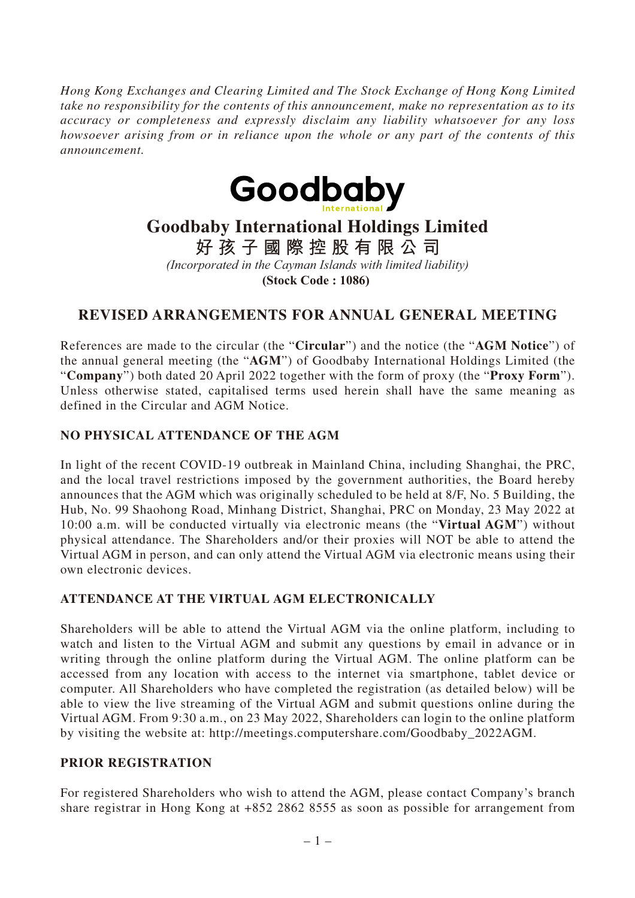*Hong Kong Exchanges and Clearing Limited and The Stock Exchange of Hong Kong Limited take no responsibility for the contents of this announcement, make no representation as to its accuracy or completeness and expressly disclaim any liability whatsoever for any loss howsoever arising from or in reliance upon the whole or any part of the contents of this announcement.*



# **Goodbaby International Holdings Limited**

**好孩子國際控股有限公司**

*(Incorporated in the Cayman Islands with limited liability)*

**(Stock Code : 1086)** 

# **REVISED ARRANGEMENTS FOR ANNUAL GENERAL MEETING**

References are made to the circular (the "**Circular**") and the notice (the "**AGM Notice**") of the annual general meeting (the "**AGM**") of Goodbaby International Holdings Limited (the "**Company**") both dated 20 April 2022 together with the form of proxy (the "**Proxy Form**"). Unless otherwise stated, capitalised terms used herein shall have the same meaning as defined in the Circular and AGM Notice.

### **NO PHYSICAL ATTENDANCE OF THE AGM**

In light of the recent COVID-19 outbreak in Mainland China, including Shanghai, the PRC, and the local travel restrictions imposed by the government authorities, the Board hereby announces that the AGM which was originally scheduled to be held at 8/F, No. 5 Building, the Hub, No. 99 Shaohong Road, Minhang District, Shanghai, PRC on Monday, 23 May 2022 at 10:00 a.m. will be conducted virtually via electronic means (the "**Virtual AGM**") without physical attendance. The Shareholders and/or their proxies will NOT be able to attend the Virtual AGM in person, and can only attend the Virtual AGM via electronic means using their own electronic devices.

#### **ATTENDANCE AT THE VIRTUAL AGM ELECTRONICALLY**

Shareholders will be able to attend the Virtual AGM via the online platform, including to watch and listen to the Virtual AGM and submit any questions by email in advance or in writing through the online platform during the Virtual AGM. The online platform can be accessed from any location with access to the internet via smartphone, tablet device or computer. All Shareholders who have completed the registration (as detailed below) will be able to view the live streaming of the Virtual AGM and submit questions online during the Virtual AGM. From 9:30 a.m., on 23 May 2022, Shareholders can login to the online platform by visiting the website at: http://meetings.computershare.com/Goodbaby\_2022AGM.

#### **PRIOR REGISTRATION**

For registered Shareholders who wish to attend the AGM, please contact Company's branch share registrar in Hong Kong at +852 2862 8555 as soon as possible for arrangement from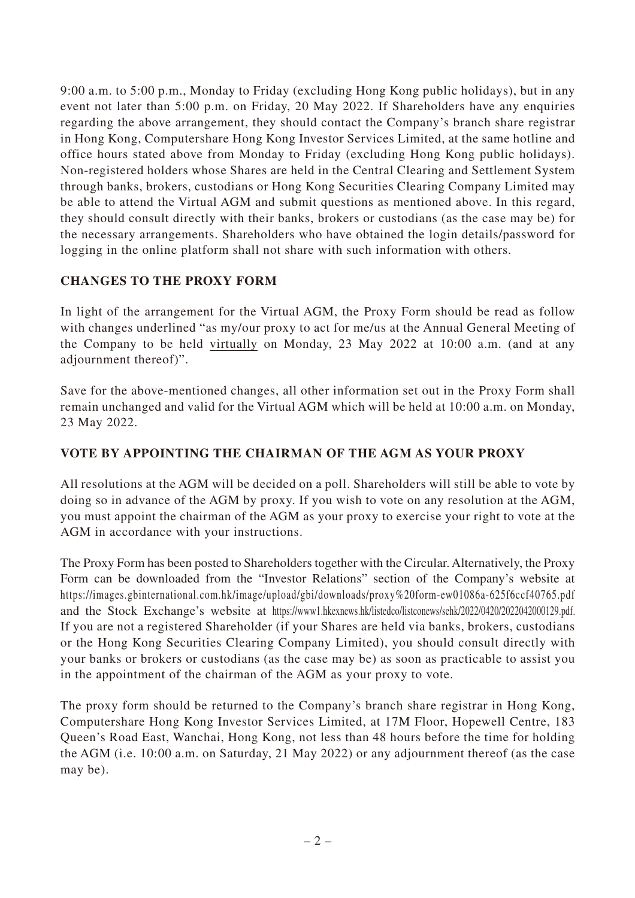9:00 a.m. to 5:00 p.m., Monday to Friday (excluding Hong Kong public holidays), but in any event not later than 5:00 p.m. on Friday, 20 May 2022. If Shareholders have any enquiries regarding the above arrangement, they should contact the Company's branch share registrar in Hong Kong, Computershare Hong Kong Investor Services Limited, at the same hotline and office hours stated above from Monday to Friday (excluding Hong Kong public holidays). Non-registered holders whose Shares are held in the Central Clearing and Settlement System through banks, brokers, custodians or Hong Kong Securities Clearing Company Limited may be able to attend the Virtual AGM and submit questions as mentioned above. In this regard, they should consult directly with their banks, brokers or custodians (as the case may be) for the necessary arrangements. Shareholders who have obtained the login details/password for logging in the online platform shall not share with such information with others.

## **CHANGES TO THE PROXY FORM**

In light of the arrangement for the Virtual AGM, the Proxy Form should be read as follow with changes underlined "as my/our proxy to act for me/us at the Annual General Meeting of the Company to be held virtually on Monday, 23 May 2022 at 10:00 a.m. (and at any adjournment thereof)".

Save for the above-mentioned changes, all other information set out in the Proxy Form shall remain unchanged and valid for the Virtual AGM which will be held at 10:00 a.m. on Monday, 23 May 2022.

## **VOTE BY APPOINTING THE CHAIRMAN OF THE AGM AS YOUR PROXY**

All resolutions at the AGM will be decided on a poll. Shareholders will still be able to vote by doing so in advance of the AGM by proxy. If you wish to vote on any resolution at the AGM, you must appoint the chairman of the AGM as your proxy to exercise your right to vote at the AGM in accordance with your instructions.

The Proxy Form has been posted to Shareholders together with the Circular. Alternatively, the Proxy Form can be downloaded from the "Investor Relations" section of the Company's website at https://images.gbinternational.com.hk/image/upload/gbi/downloads/proxy%20form-ew01086a-625f6ccf40765.pdf and the Stock Exchange's website at https://www1.hkexnews.hk/listedco/listconews/sehk/2022/0420/2022042000129.pdf. If you are not a registered Shareholder (if your Shares are held via banks, brokers, custodians or the Hong Kong Securities Clearing Company Limited), you should consult directly with your banks or brokers or custodians (as the case may be) as soon as practicable to assist you in the appointment of the chairman of the AGM as your proxy to vote.

The proxy form should be returned to the Company's branch share registrar in Hong Kong, Computershare Hong Kong Investor Services Limited, at 17M Floor, Hopewell Centre, 183 Queen's Road East, Wanchai, Hong Kong, not less than 48 hours before the time for holding the AGM (i.e. 10:00 a.m. on Saturday, 21 May 2022) or any adjournment thereof (as the case may be).